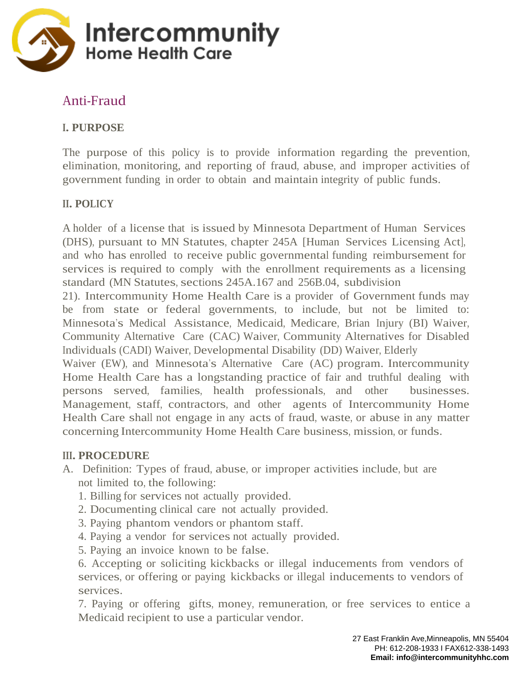

## Anti-Fraud

### **I. PURPOSE**

The purpose of this policy is to provide information regarding the prevention, elimination, monitoring, and reporting of fraud, abuse, and improper activities of government funding in order to obtain and maintain integrity of public funds.

#### **II. POLICY**

A holder of a license that is issued by Minnesota Department of Human Services (DHS), pursuant to MN Statutes, chapter 245A [Human Services Licensing Act], and who has enrolled to receive public governmental funding reimbursement for services is required to comply with the enrollment requirements as a licensing standard (MN Statutes, sections 245A.167 and 256B.04, subdivision

21). Intercommunity Home Health Care is a provider of Government funds may be from state or federal governments, to include, but not be limited to: Minnesota's Medical Assistance, Medicaid, Medicare, Brian Injury (BI) Waiver, Community Alternative Care (CAC) Waiver, Community Alternatives for Disabled Individuals (CADI) Waiver, Developmental Disability (DD) Waiver, Elderly

Waiver (EW), and Minnesota's Alternative Care (AC) program. Intercommunity Home Health Care has a longstanding practice of fair and truthful dealing with persons served, families, health professionals, and other businesses. Management, staff, contractors, and other agents of Intercommunity Home Health Care shall not engage in any acts of fraud, waste, or abuse in any matter concerning Intercommunity Home Health Care business, mission, or funds.

#### **III. PROCEDURE**

- A. Definition: Types of fraud, abuse, or improper activities include, but are not limited to, the following:
	- 1. Billing for services not actually provided.
	- 2. Documenting clinical care not actually provided.
	- 3. Paying phantom vendors or phantom staff.
	- 4. Paying a vendor for services not actually provided.
	- 5. Paying an invoice known to be false.

6. Accepting or soliciting kickbacks or illegal inducements from vendors of services, or offering or paying kickbacks or illegal inducements to vendors of services.

7. Paying or offering gifts, money, remuneration, or free services to entice a Medicaid recipient to use a particular vendor.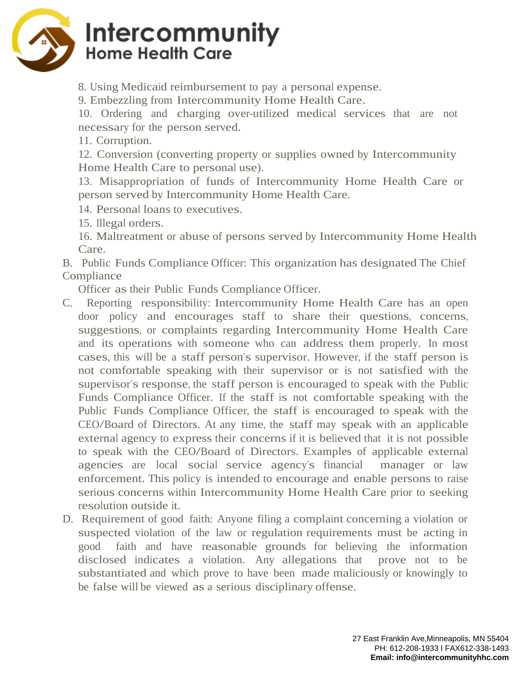

# Intercommunity **Home Health Care**

8. Using Medicaid reimbursement to pay a personal expense.

9. Embezzling from Intercommunity Home Health Care.

10. Ordering and charging over-utilized medical services that are not necessary for the person served.

11. Corruption.

12. Conversion (converting property or supplies owned by Intercommunity Home Health Care to personal use).

13. Misappropriation of funds of Intercommunity Home Health Care or person served by Intercommunity Home Health Care.

14. Personal loans to executives.

15. Illegal orders.

16. Maltreatment or abuse of persons served by Intercommunity Home Health Care.

B. Public Funds Compliance Officer: This organization has designated The Chief Compliance

Officer as their Public Funds Compliance Officer.

- C. Reporting responsibility: Intercommunity Home Health Care has an open door policy and encourages staff to share their questions, concerns, suggestions, or complaints regarding Intercommunity Home Health Care and its operations with someone who can address them properly. In most cases, this will be a staff person's supervisor. However, if the staff person is not comfortable speaking with their supervisor or is not satisfied with the supervisor's response, the staff person is encouraged to speak with the Public Funds Compliance Officer. If the staff is not comfortable speaking with the Public Funds Compliance Officer, the staff is encouraged to speak with the CEO/Board of Directors. At any time, the staff may speak with an applicable external agency to express their concerns if it is believed that it is not possible to speak with the CEO/Board of Directors. Examples of applicable external agencies are local social service agency's financial manager or law enforcement. This policy is intended to encourage and enable persons to raise serious concerns within Intercommunity Home Health Care prior to seeking resolution outside it.
- D. Requirement of good faith: Anyone filing a complaint concerning a violation or suspected violation of the law or regulation requirements must be acting in good faith and have reasonable grounds for believing the information disclosed indicates a violation. Any allegations that prove not to be substantiated and which prove to have been made maliciously or knowingly to be false will be viewed as a serious disciplinary offense.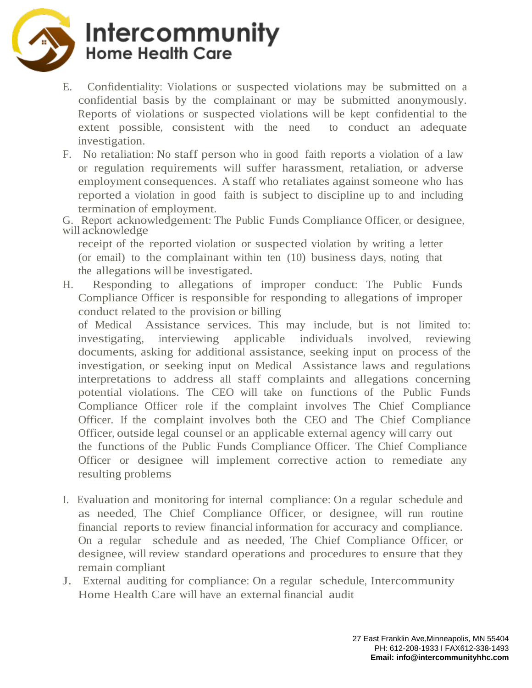

# Intercommunity **Home Health Care**

- E. Confidentiality: Violations or suspected violations may be submitted on a confidential basis by the complainant or may be submitted anonymously. Reports of violations or suspected violations will be kept confidential to the extent possible, consistent with the need to conduct an adequate investigation.
- F. No retaliation: No staff person who in good faith reports a violation of a law or regulation requirements will suffer harassment, retaliation, or adverse employment consequences. A staff who retaliates against someone who has reported a violation in good faith is subject to discipline up to and including termination of employment.

G. Report acknowledgement: The Public Funds Compliance Officer, or designee, will acknowledge

receipt of the reported violation or suspected violation by writing a letter (or email) to the complainant within ten (10) business days, noting that the allegations will be investigated.

H. Responding to allegations of improper conduct: The Public Funds Compliance Officer is responsible for responding to allegations of improper conduct related to the provision or billing

of Medical Assistance services. This may include, but is not limited to: investigating, interviewing applicable individuals involved, reviewing documents, asking for additional assistance, seeking input on process of the investigation, or seeking input on Medical Assistance laws and regulations interpretations to address all staff complaints and allegations concerning potential violations. The CEO will take on functions of the Public Funds Compliance Officer role if the complaint involves The Chief Compliance Officer. If the complaint involves both the CEO and The Chief Compliance Officer, outside legal counsel or an applicable external agency will carry out the functions of the Public Funds Compliance Officer. The Chief Compliance Officer or designee will implement corrective action to remediate any resulting problems

- I. Evaluation and monitoring for internal compliance: On a regular schedule and as needed, The Chief Compliance Officer, or designee, will run routine financial reports to review financial information for accuracy and compliance. On a regular schedule and as needed, The Chief Compliance Officer, or designee, will review standard operations and procedures to ensure that they remain compliant
- J. External auditing for compliance: On a regular schedule, Intercommunity Home Health Care will have an external financial audit